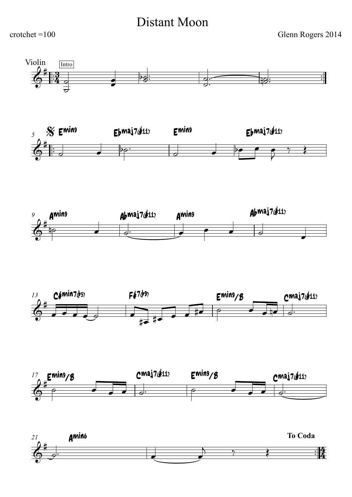## Distant Moon

 $crotchet = 100$